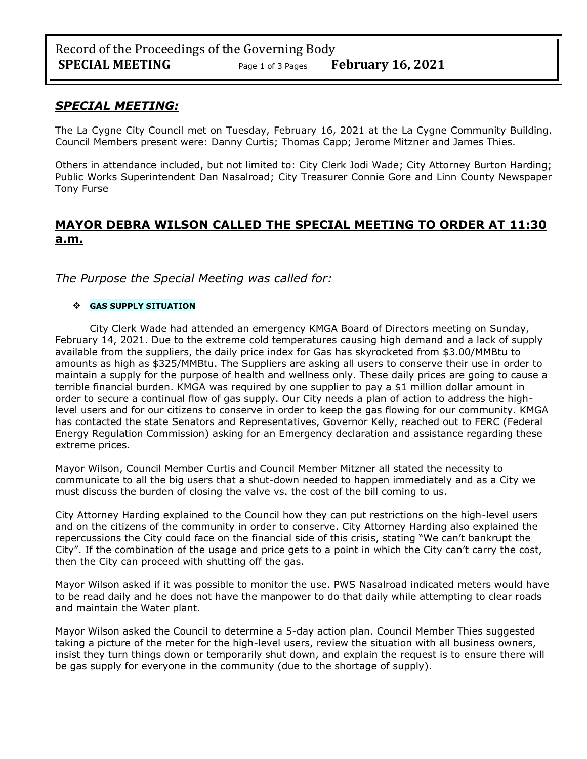### *SPECIAL MEETING:*

The La Cygne City Council met on Tuesday, February 16, 2021 at the La Cygne Community Building. Council Members present were: Danny Curtis; Thomas Capp; Jerome Mitzner and James Thies.

Others in attendance included, but not limited to: City Clerk Jodi Wade; City Attorney Burton Harding; Public Works Superintendent Dan Nasalroad; City Treasurer Connie Gore and Linn County Newspaper Tony Furse

# **MAYOR DEBRA WILSON CALLED THE SPECIAL MEETING TO ORDER AT 11:30 a.m.**

### *The Purpose the Special Meeting was called for:*

#### ❖ **GAS SUPPLY SITUATION**

City Clerk Wade had attended an emergency KMGA Board of Directors meeting on Sunday, February 14, 2021. Due to the extreme cold temperatures causing high demand and a lack of supply available from the suppliers, the daily price index for Gas has skyrocketed from \$3.00/MMBtu to amounts as high as \$325/MMBtu. The Suppliers are asking all users to conserve their use in order to maintain a supply for the purpose of health and wellness only. These daily prices are going to cause a terrible financial burden. KMGA was required by one supplier to pay a \$1 million dollar amount in order to secure a continual flow of gas supply. Our City needs a plan of action to address the highlevel users and for our citizens to conserve in order to keep the gas flowing for our community. KMGA has contacted the state Senators and Representatives, Governor Kelly, reached out to FERC (Federal Energy Regulation Commission) asking for an Emergency declaration and assistance regarding these extreme prices.

Mayor Wilson, Council Member Curtis and Council Member Mitzner all stated the necessity to communicate to all the big users that a shut-down needed to happen immediately and as a City we must discuss the burden of closing the valve vs. the cost of the bill coming to us.

City Attorney Harding explained to the Council how they can put restrictions on the high-level users and on the citizens of the community in order to conserve. City Attorney Harding also explained the repercussions the City could face on the financial side of this crisis, stating "We can't bankrupt the City". If the combination of the usage and price gets to a point in which the City can't carry the cost, then the City can proceed with shutting off the gas.

Mayor Wilson asked if it was possible to monitor the use. PWS Nasalroad indicated meters would have to be read daily and he does not have the manpower to do that daily while attempting to clear roads and maintain the Water plant.

Mayor Wilson asked the Council to determine a 5-day action plan. Council Member Thies suggested taking a picture of the meter for the high-level users, review the situation with all business owners, insist they turn things down or temporarily shut down, and explain the request is to ensure there will be gas supply for everyone in the community (due to the shortage of supply).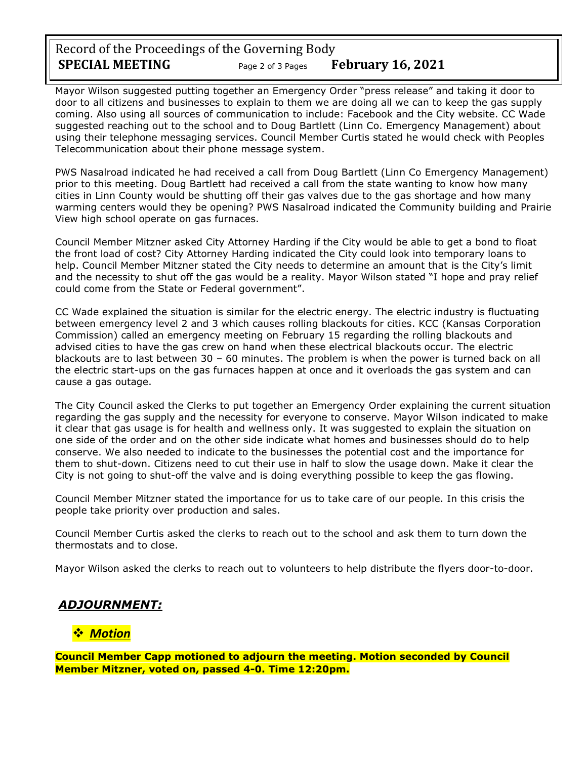Record of the Proceedings of the Governing Body **SPECIAL MEETING** Page <sup>2</sup> of 3 Pages **February 16, 2021**

Mayor Wilson suggested putting together an Emergency Order "press release" and taking it door to door to all citizens and businesses to explain to them we are doing all we can to keep the gas supply coming. Also using all sources of communication to include: Facebook and the City website. CC Wade suggested reaching out to the school and to Doug Bartlett (Linn Co. Emergency Management) about using their telephone messaging services. Council Member Curtis stated he would check with Peoples Telecommunication about their phone message system.

PWS Nasalroad indicated he had received a call from Doug Bartlett (Linn Co Emergency Management) prior to this meeting. Doug Bartlett had received a call from the state wanting to know how many cities in Linn County would be shutting off their gas valves due to the gas shortage and how many warming centers would they be opening? PWS Nasalroad indicated the Community building and Prairie View high school operate on gas furnaces.

Council Member Mitzner asked City Attorney Harding if the City would be able to get a bond to float the front load of cost? City Attorney Harding indicated the City could look into temporary loans to help. Council Member Mitzner stated the City needs to determine an amount that is the City's limit and the necessity to shut off the gas would be a reality. Mayor Wilson stated "I hope and pray relief could come from the State or Federal government".

CC Wade explained the situation is similar for the electric energy. The electric industry is fluctuating between emergency level 2 and 3 which causes rolling blackouts for cities. KCC (Kansas Corporation Commission) called an emergency meeting on February 15 regarding the rolling blackouts and advised cities to have the gas crew on hand when these electrical blackouts occur. The electric blackouts are to last between 30 – 60 minutes. The problem is when the power is turned back on all the electric start-ups on the gas furnaces happen at once and it overloads the gas system and can cause a gas outage.

The City Council asked the Clerks to put together an Emergency Order explaining the current situation regarding the gas supply and the necessity for everyone to conserve. Mayor Wilson indicated to make it clear that gas usage is for health and wellness only. It was suggested to explain the situation on one side of the order and on the other side indicate what homes and businesses should do to help conserve. We also needed to indicate to the businesses the potential cost and the importance for them to shut-down. Citizens need to cut their use in half to slow the usage down. Make it clear the City is not going to shut-off the valve and is doing everything possible to keep the gas flowing.

Council Member Mitzner stated the importance for us to take care of our people. In this crisis the people take priority over production and sales.

Council Member Curtis asked the clerks to reach out to the school and ask them to turn down the thermostats and to close.

Mayor Wilson asked the clerks to reach out to volunteers to help distribute the flyers door-to-door.

## *ADJOURNMENT:*

## ❖ *Motion*

**Council Member Capp motioned to adjourn the meeting. Motion seconded by Council Member Mitzner, voted on, passed 4-0. Time 12:20pm.**